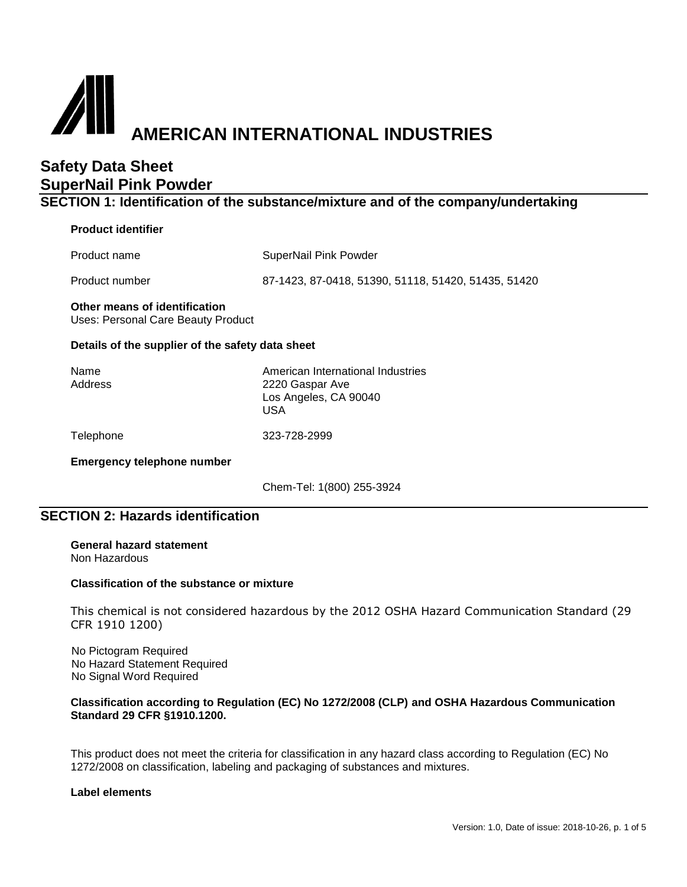# **AMERICAN INTERNATIONAL INDUSTRIES**

# **Safety Data Sheet SuperNail Pink Powder**

**SECTION 1: Identification of the substance/mixture and of the company/undertaking**

## **Product identifier**

Product name SuperNail Pink Powder

Product number 87-1423, 87-0418, 51390, 51118, 51420, 51435, 51420

# **Other means of identification**

Uses: Personal Care Beauty Product

## **Details of the supplier of the safety data sheet**

| Name    | American International Industries |
|---------|-----------------------------------|
| Address | 2220 Gaspar Ave                   |
|         | Los Angeles, CA 90040             |
|         | USA                               |
|         |                                   |

Telephone 323-728-2999

**Emergency telephone number**

Chem-Tel: 1(800) 255-3924

## **SECTION 2: Hazards identification**

**General hazard statement** Non Hazardous

## **Classification of the substance or mixture**

This chemical is not considered hazardous by the 2012 OSHA Hazard Communication Standard (29 CFR 1910 1200)

No Pictogram Required No Hazard Statement Required No Signal Word Required

## **Classification according to Regulation (EC) No 1272/2008 (CLP) and OSHA Hazardous Communication Standard 29 CFR §1910.1200.**

This product does not meet the criteria for classification in any hazard class according to Regulation (EC) No 1272/2008 on classification, labeling and packaging of substances and mixtures.

## **Label elements**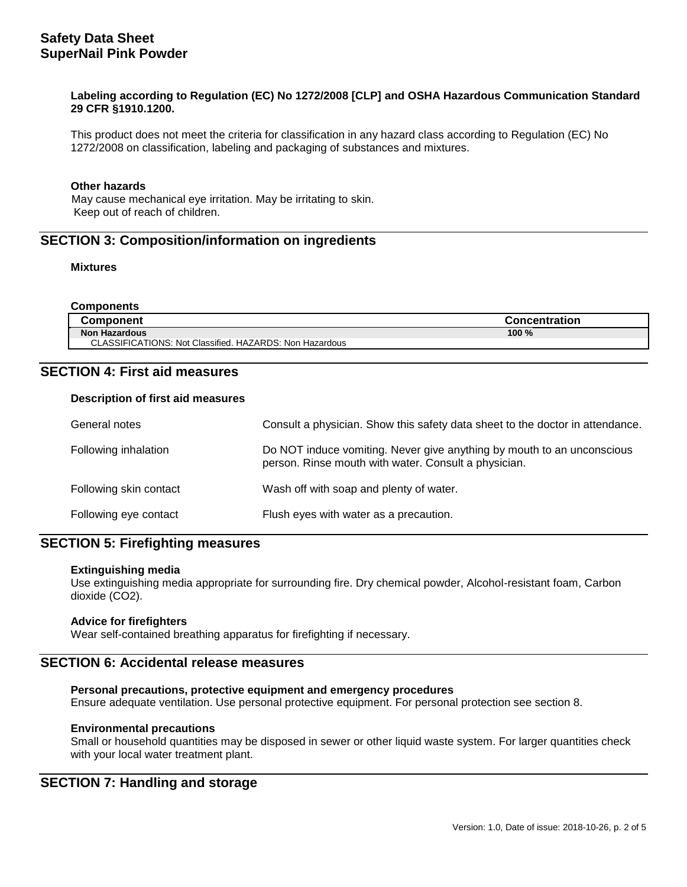## **Labeling according to Regulation (EC) No 1272/2008 [CLP] and OSHA Hazardous Communication Standard 29 CFR §1910.1200.**

This product does not meet the criteria for classification in any hazard class according to Regulation (EC) No 1272/2008 on classification, labeling and packaging of substances and mixtures.

#### **Other hazards**

 May cause mechanical eye irritation. May be irritating to skin. Keep out of reach of children.

## **SECTION 3: Composition/information on ingredients**

#### **Mixtures**

| <b>Components</b>                                       |                      |
|---------------------------------------------------------|----------------------|
| <b>Component</b>                                        | <b>Concentration</b> |
| <b>Non Hazardous</b>                                    | $100 \%$             |
| CLASSIFICATIONS: Not Classified. HAZARDS: Non Hazardous |                      |

## **SECTION 4: First aid measures**

#### **Description of first aid measures**

| General notes          | Consult a physician. Show this safety data sheet to the doctor in attendance.                                                  |
|------------------------|--------------------------------------------------------------------------------------------------------------------------------|
| Following inhalation   | Do NOT induce vomiting. Never give anything by mouth to an unconscious<br>person. Rinse mouth with water. Consult a physician. |
| Following skin contact | Wash off with soap and plenty of water.                                                                                        |
| Following eye contact  | Flush eyes with water as a precaution.                                                                                         |

## **SECTION 5: Firefighting measures**

#### **Extinguishing media**

Use extinguishing media appropriate for surrounding fire. Dry chemical powder, Alcohol-resistant foam, Carbon dioxide (CO2).

## **Advice for firefighters**

Wear self-contained breathing apparatus for firefighting if necessary.

## **SECTION 6: Accidental release measures**

## **Personal precautions, protective equipment and emergency procedures**

Ensure adequate ventilation. Use personal protective equipment. For personal protection see section 8.

## **Environmental precautions**

Small or household quantities may be disposed in sewer or other liquid waste system. For larger quantities check with your local water treatment plant.

## **SECTION 7: Handling and storage**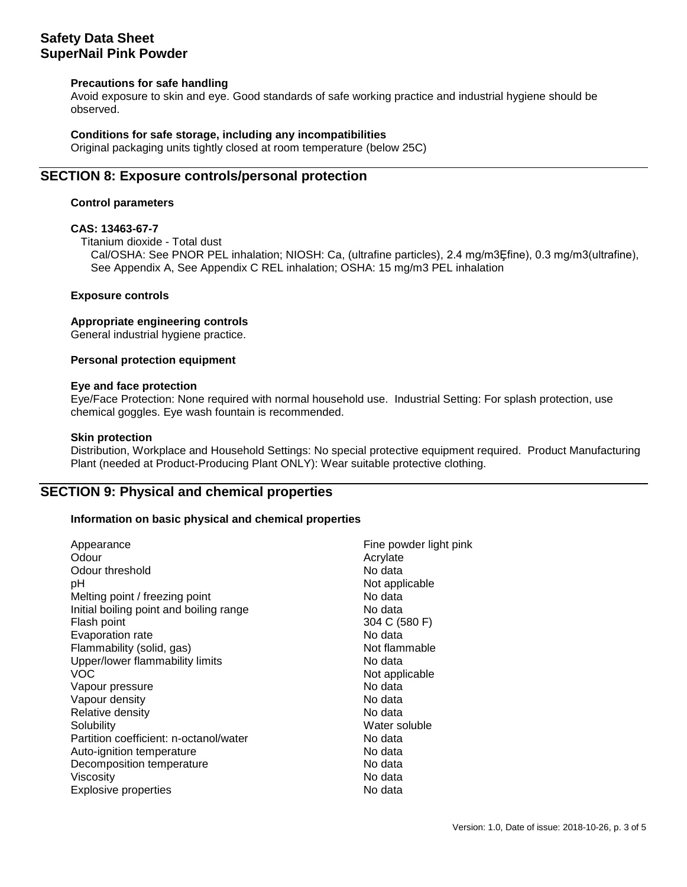## **Safety Data Sheet SuperNail Pink Powder**

## **Precautions for safe handling**

Avoid exposure to skin and eye. Good standards of safe working practice and industrial hygiene should be observed.

## **Conditions for safe storage, including any incompatibilities**

Original packaging units tightly closed at room temperature (below 25C)

## **SECTION 8: Exposure controls/personal protection**

## **Control parameters**

## **CAS: 13463-67-7**

Titanium dioxide - Total dust

Cal/OSHA: See PNOR PEL inhalation; NIOSH: Ca, (ultrafine particles), 2.4 mg/m3Ȩfine), 0.3 mg/m3(ultrafine), See Appendix A, See Appendix C REL inhalation; OSHA: 15 mg/m3 PEL inhalation

## **Exposure controls**

## **Appropriate engineering controls**

General industrial hygiene practice.

## **Personal protection equipment**

#### **Eye and face protection**

Eye/Face Protection: None required with normal household use. Industrial Setting: For splash protection, use chemical goggles. Eye wash fountain is recommended.

## **Skin protection**

Distribution, Workplace and Household Settings: No special protective equipment required. Product Manufacturing Plant (needed at Product-Producing Plant ONLY): Wear suitable protective clothing.

## **SECTION 9: Physical and chemical properties**

## **Information on basic physical and chemical properties**

| Appearance                              | Fine powder light pink |
|-----------------------------------------|------------------------|
| Odour                                   | Acrylate               |
| Odour threshold                         | No data                |
| рH                                      | Not applicable         |
| Melting point / freezing point          | No data                |
| Initial boiling point and boiling range | No data                |
| Flash point                             | 304 C (580 F)          |
| Evaporation rate                        | No data                |
| Flammability (solid, gas)               | Not flammable          |
| Upper/lower flammability limits         | No data                |
| <b>VOC</b>                              | Not applicable         |
| Vapour pressure                         | No data                |
| Vapour density                          | No data                |
| Relative density                        | No data                |
| Solubility                              | Water soluble          |
| Partition coefficient: n-octanol/water  | No data                |
| Auto-ignition temperature               | No data                |
| Decomposition temperature               | No data                |
| Viscosity                               | No data                |
| <b>Explosive properties</b>             | No data                |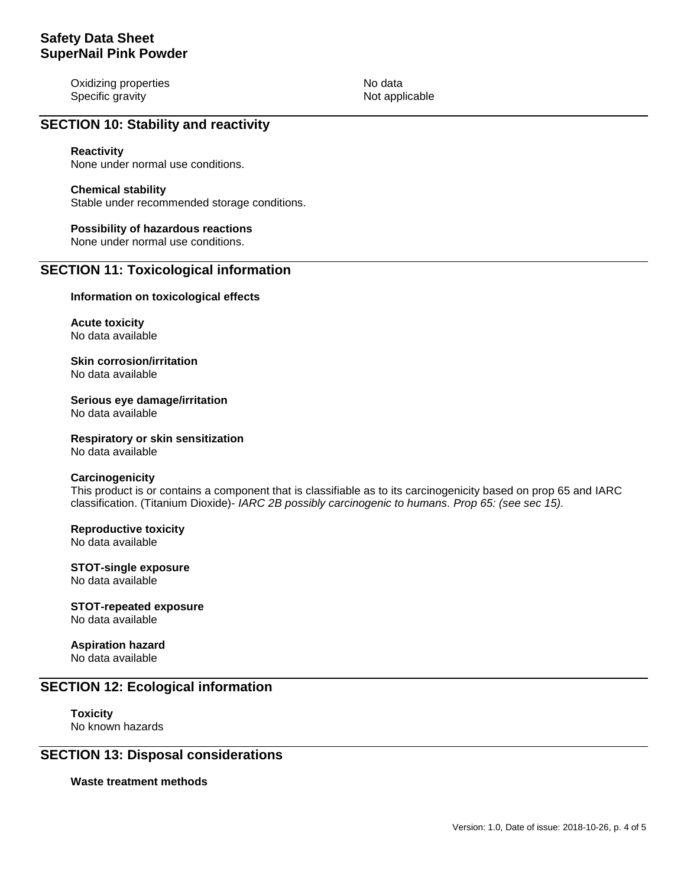Oxidizing properties No data Specific gravity **Notifically** Not applicable

## **SECTION 10: Stability and reactivity**

## **Reactivity**

None under normal use conditions.

#### **Chemical stability**

Stable under recommended storage conditions.

## **Possibility of hazardous reactions**

None under normal use conditions.

## **SECTION 11: Toxicological information**

#### **Information on toxicological effects**

**Acute toxicity** No data available

**Skin corrosion/irritation** No data available

**Serious eye damage/irritation** No data available

**Respiratory or skin sensitization** No data available

#### **Carcinogenicity**

This product is or contains a component that is classifiable as to its carcinogenicity based on prop 65 and IARC classification. (Titanium Dioxide)- *IARC 2B possibly carcinogenic to humans. Prop 65: (see sec 15).*

#### **Reproductive toxicity** No data available

**STOT-single exposure** No data available

# **STOT-repeated exposure**

No data available

## **Aspiration hazard** No data available

## **SECTION 12: Ecological information**

**Toxicity** No known hazards

## **SECTION 13: Disposal considerations**

**Waste treatment methods**